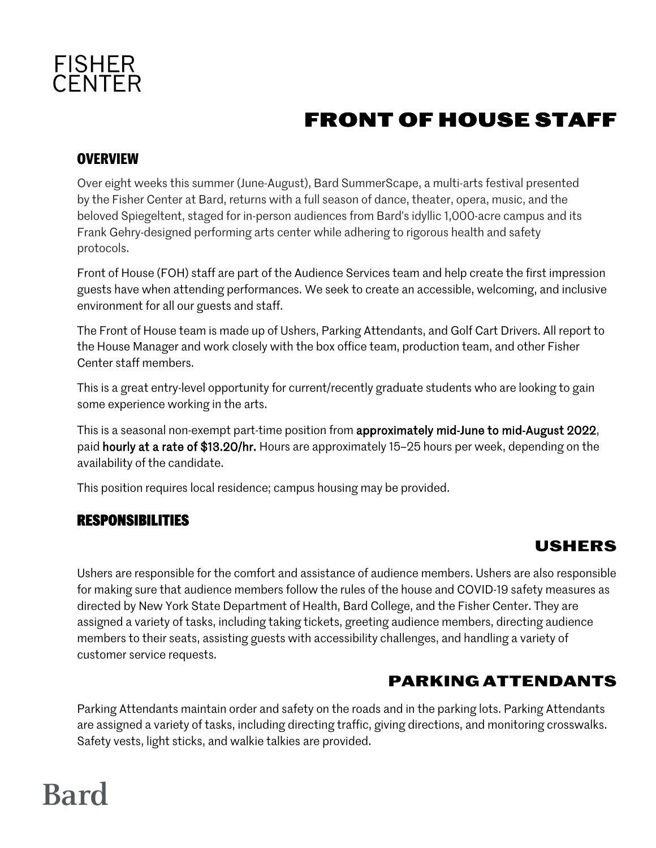

## **FRONT OF HOUSE STAFF**

#### **OVERVIEW**

Over eight weeks this summer (June-August), Bard SummerScape, a multi-arts festival presented by the Fisher Center at Bard, returns with a full season of dance, theater, opera, music, and the beloved Spiegeltent, staged for in-person audiences from Bard's idyllic 1,000-acre campus and its Frank Gehry-designed performing arts center while adhering to rigorous health and safety protocols.

Front of House (FOH) staff are part of the Audience Services team and help create the first impression guests have when attending performances. We seek to create an accessible, welcoming, and inclusive environment for all our guests and staff.

The Front of House team is made up of Ushers, Parking Attendants, and Golf Cart Drivers. All report to the House Manager and work closely with the box office team, production team, and other Fisher Center staff members.

This is a great entry-level opportunity for current/recently graduate students who are looking to gain some experience working in the arts.

This is a seasonal non-exempt part-time position from approximately mid-June to mid-August 2022, paid hourly at a rate of \$13.20/hr. Hours are approximately 15–25 hours per week, depending on the availability of the candidate.

This position requires local residence; campus housing may be provided.

#### **RESPONSIBILITIES**

### **Ushers**

Ushers are responsible for the comfort and assistance of audience members. Ushers are also responsible for making sure that audience members follow the rules of the house and COVID-19 safety measures as directed by New York State Department of Health, Bard College, and the Fisher Center. They are assigned a variety of tasks, including taking tickets, greeting audience members, directing audience members to their seats, assisting guests with accessibility challenges, and handling a variety of customer service requests.

### **Parking Attendants**

Parking Attendants maintain order and safety on the roads and in the parking lots. Parking Attendants are assigned a variety of tasks, including directing traffic, giving directions, and monitoring crosswalks. Safety vests, light sticks, and walkie talkies are provided.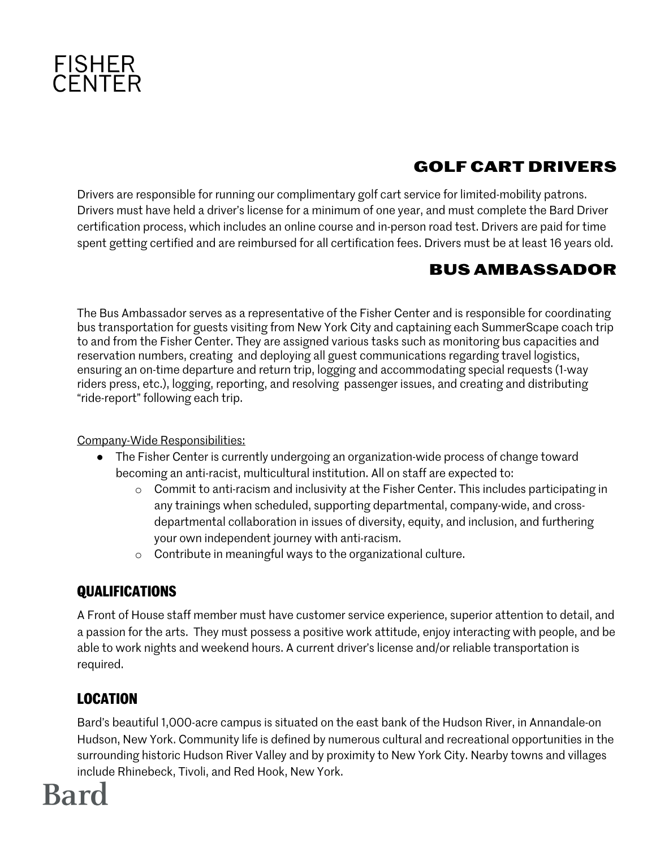

### **Golf Cart Drivers**

Drivers are responsible for running our complimentary golf cart service for limited-mobility patrons. Drivers must have held a driver's license for a minimum of one year, and must complete the Bard Driver certification process, which includes an online course and in-person road test. Drivers are paid for time spent getting certified and are reimbursed for all certification fees. Drivers must be at least 16 years old.

### **Bus Ambassador**

The Bus Ambassador serves as a representative of the Fisher Center and is responsible for coordinating bus transportation for guests visiting from New York City and captaining each SummerScape coach trip to and from the Fisher Center. They are assigned various tasks such as monitoring bus capacities and reservation numbers, creating and deploying all guest communications regarding travel logistics, ensuring an on-time departure and return trip, logging and accommodating special requests (1-way riders press, etc.), logging, reporting, and resolving passenger issues, and creating and distributing "ride-report" following each trip.

Company-Wide Responsibilities:

- The Fisher Center is currently undergoing an organization-wide process of change toward becoming an anti-racist, multicultural institution. All on staff are expected to:
	- o Commit to anti-racism and inclusivity at the Fisher Center. This includes participating in any trainings when scheduled, supporting departmental, company-wide, and crossdepartmental collaboration in issues of diversity, equity, and inclusion, and furthering your own independent journey with anti-racism.
	- o Contribute in meaningful ways to the organizational culture.

#### **QUALIFICATIONS**

A Front of House staff member must have customer service experience, superior attention to detail, and a passion for the arts. They must possess a positive work attitude, enjoy interacting with people, and be able to work nights and weekend hours. A current driver's license and/or reliable transportation is required.

#### **LOCATION**

Bard's beautiful 1,000-acre campus is situated on the east bank of the Hudson River, in Annandale-on Hudson, New York. Community life is defined by numerous cultural and recreational opportunities in the surrounding historic Hudson River Valley and by proximity to New York City. Nearby towns and villages include Rhinebeck, Tivoli, and Red Hook, New York.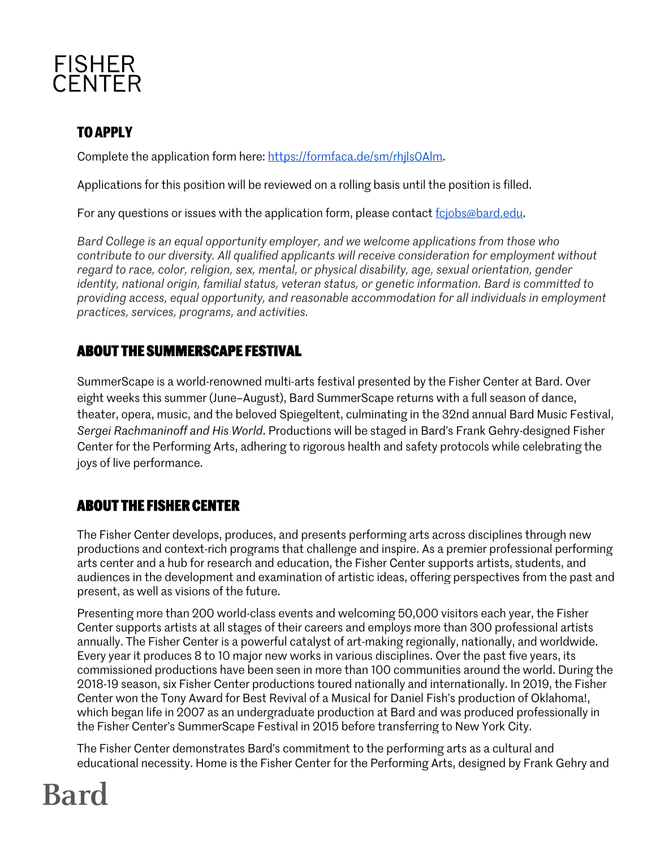

#### **TO APPLY**

Complete the application form here: https://formfaca.de/sm/rhils0Alm.

Applications for this position will be reviewed on a rolling basis until the position is filled.

For any questions or issues with the application form, please contact fciobs@bard.edu.

*Bard College is an equal opportunity employer, and we welcome applications from those who contribute to our diversity. All qualified applicants will receive consideration for employment without regard to race, color, religion, sex, mental, or physical disability, age, sexual orientation, gender identity, national origin, familial status, veteran status, or genetic information. Bard is committed to providing access, equal opportunity, and reasonable accommodation for all individuals in employment practices, services, programs, and activities.*

#### **ABOUT THE SUMMERSCAPE FESTIVAL**

SummerScape is a world-renowned multi-arts festival presented by the Fisher Center at Bard. Over eight weeks this summer (June–August), Bard SummerScape returns with a full season of dance, theater, opera, music, and the beloved Spiegeltent, culminating in the 32nd annual Bard Music Festival, *Sergei Rachmaninoff and His World*. Productions will be staged in Bard's Frank Gehry-designed Fisher Center for the Performing Arts, adhering to rigorous health and safety protocols while celebrating the joys of live performance.

#### **ABOUT THE FISHER CENTER**

The Fisher Center develops, produces, and presents performing arts across disciplines through new productions and context-rich programs that challenge and inspire. As a premier professional performing arts center and a hub for research and education, the Fisher Center supports artists, students, and audiences in the development and examination of artistic ideas, offering perspectives from the past and present, as well as visions of the future.

Presenting more than 200 world-class events and welcoming 50,000 visitors each year, the Fisher Center supports artists at all stages of their careers and employs more than 300 professional artists annually. The Fisher Center is a powerful catalyst of art-making regionally, nationally, and worldwide. Every year it produces 8 to 10 major new works in various disciplines. Over the past five years, its commissioned productions have been seen in more than 100 communities around the world. During the 2018-19 season, six Fisher Center productions toured nationally and internationally. In 2019, the Fisher Center won the Tony Award for Best Revival of a Musical for Daniel Fish's production of Oklahoma!, which began life in 2007 as an undergraduate production at Bard and was produced professionally in the Fisher Center's SummerScape Festival in 2015 before transferring to New York City.

The Fisher Center demonstrates Bard's commitment to the performing arts as a cultural and educational necessity. Home is the Fisher Center for the Performing Arts, designed by Frank Gehry and